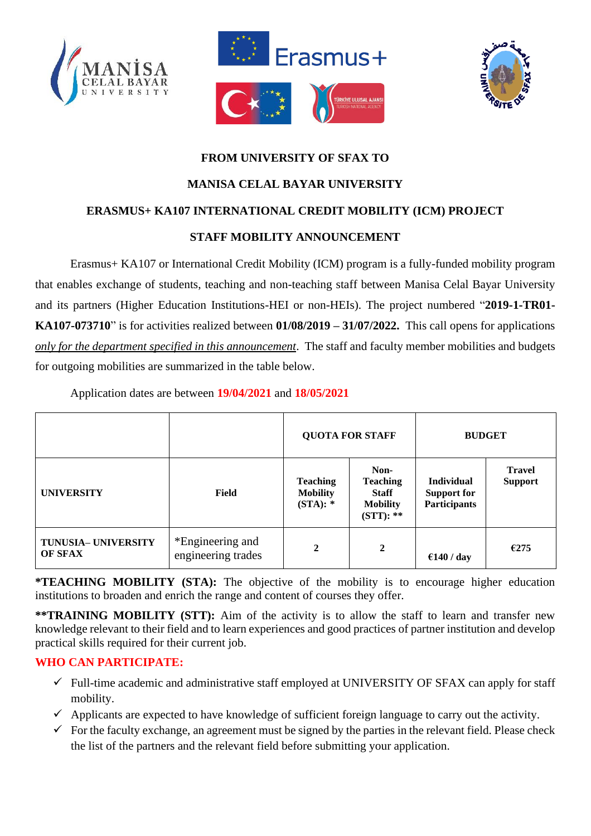





# **FROM UNIVERSITY OF SFAX TO MANISA CELAL BAYAR UNIVERSITY ERASMUS+ KA107 INTERNATIONAL CREDIT MOBILITY (ICM) PROJECT STAFF MOBILITY ANNOUNCEMENT**

Erasmus+ KA107 or International Credit Mobility (ICM) program is a fully-funded mobility program that enables exchange of students, teaching and non-teaching staff between Manisa Celal Bayar University and its partners (Higher Education Institutions-HEI or non-HEIs). The project numbered "**2019-1-TR01- KA107-073710**" is for activities realized between **01/08/2019 – 31/07/2022.** This call opens for applications *only for the department specified in this announcement*. The staff and faculty member mobilities and budgets for outgoing mobilities are summarized in the table below.

Application dates are between **19/04/2021** and **18/05/2021**

|                                |                                        | <b>QUOTA FOR STAFF</b>                       |                                                                           | <b>BUDGET</b>                                                  |                                 |
|--------------------------------|----------------------------------------|----------------------------------------------|---------------------------------------------------------------------------|----------------------------------------------------------------|---------------------------------|
| <b>UNIVERSITY</b>              | Field                                  | <b>Teaching</b><br><b>Mobility</b><br>(STA): | Non-<br><b>Teaching</b><br><b>Staff</b><br><b>Mobility</b><br>$(STT): **$ | <b>Individual</b><br><b>Support for</b><br><b>Participants</b> | <b>Travel</b><br><b>Support</b> |
| TUNUSIA- UNIVERSITY<br>OF SFAX | *Engineering and<br>engineering trades | $\mathbf{2}$                                 | $\mathbf{2}$                                                              | €140 / day                                                     | €275                            |

**\*TEACHING MOBILITY (STA):** The objective of the mobility is to encourage higher education institutions to broaden and enrich the range and content of courses they offer.

**\*\*TRAINING MOBILITY (STT):** Aim of the activity is to allow the staff to learn and transfer new knowledge relevant to their field and to learn experiences and good practices of partner institution and develop practical skills required for their current job.

## **WHO CAN PARTICIPATE:**

- $\checkmark$  Full-time academic and administrative staff employed at UNIVERSITY OF SFAX can apply for staff mobility.
- $\checkmark$  Applicants are expected to have knowledge of sufficient foreign language to carry out the activity.
- $\checkmark$  For the faculty exchange, an agreement must be signed by the parties in the relevant field. Please check the list of the partners and the relevant field before submitting your application.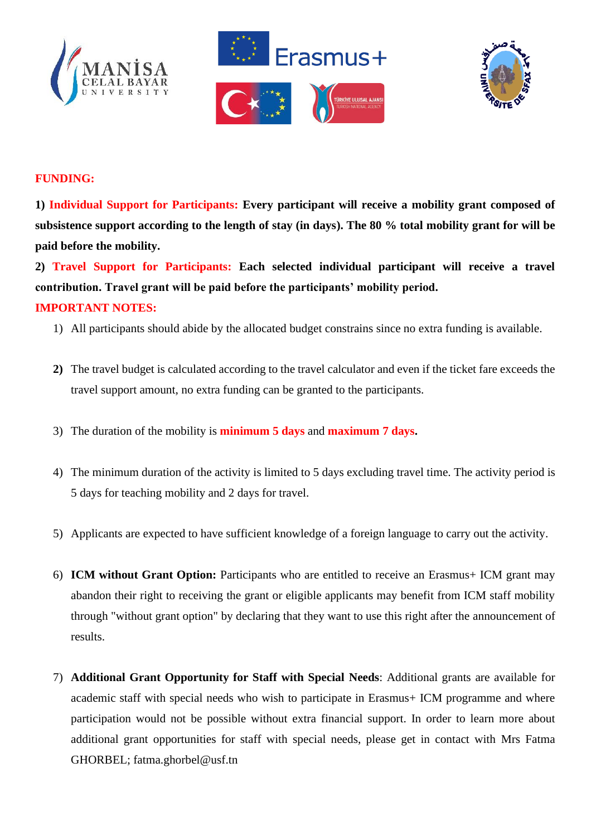





#### **FUNDING:**

**1) Individual Support for Participants: Every participant will receive a mobility grant composed of subsistence support according to the length of stay (in days). The 80 % total mobility grant for will be paid before the mobility.**

**2) Travel Support for Participants: Each selected individual participant will receive a travel contribution. Travel grant will be paid before the participants' mobility period. IMPORTANT NOTES:** 

- 1) All participants should abide by the allocated budget constrains since no extra funding is available.
- **2)** The travel budget is calculated according to the travel calculator and even if the ticket fare exceeds the travel support amount, no extra funding can be granted to the participants.
- 3) The duration of the mobility is **minimum 5 days** and **maximum 7 days.**
- 4) The minimum duration of the activity is limited to 5 days excluding travel time. The activity period is 5 days for teaching mobility and 2 days for travel.
- 5) Applicants are expected to have sufficient knowledge of a foreign language to carry out the activity.
- 6) **ICM without Grant Option:** Participants who are entitled to receive an Erasmus+ ICM grant may abandon their right to receiving the grant or eligible applicants may benefit from ICM staff mobility through "without grant option" by declaring that they want to use this right after the announcement of results.
- 7) **Additional Grant Opportunity for Staff with Special Needs**: Additional grants are available for academic staff with special needs who wish to participate in Erasmus+ ICM programme and where participation would not be possible without extra financial support. In order to learn more about additional grant opportunities for staff with special needs, please get in contact with Mrs Fatma GHORBEL; fatma.ghorbel@usf.tn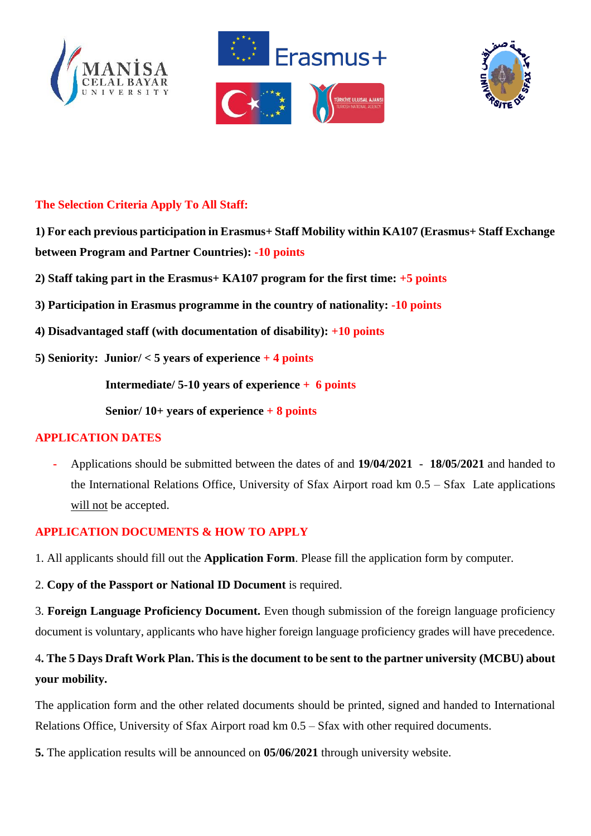





## **The Selection Criteria Apply To All Staff:**

- **1) For each previous participation in Erasmus+ Staff Mobility within KA107 (Erasmus+ Staff Exchange between Program and Partner Countries): -10 points**
- **2) Staff taking part in the Erasmus+ KA107 program for the first time: +5 points**
- **3) Participation in Erasmus programme in the country of nationality: -10 points**
- **4) Disadvantaged staff (with documentation of disability): +10 points**
- **5) Seniority: Junior/ < 5 years of experience + 4 points**

**Intermediate/ 5-10 years of experience + 6 points**

**Senior/ 10+ years of experience + 8 points**

#### **APPLICATION DATES**

**-** Applications should be submitted between the dates of and **19/04/2021** - **18/05/2021** and handed to the International Relations Office, University of Sfax Airport road km 0.5 – Sfax Late applications will not be accepted.

#### **APPLICATION DOCUMENTS & HOW TO APPLY**

1. All applicants should fill out the **Application Form**. Please fill the application form by computer.

2. **Copy of the Passport or National ID Document** is required.

3. **Foreign Language Proficiency Document.** Even though submission of the foreign language proficiency document is voluntary, applicants who have higher foreign language proficiency grades will have precedence.

# 4**. The 5 Days Draft Work Plan. This is the document to be sent to the partner university (MCBU) about your mobility.**

The application form and the other related documents should be printed, signed and handed to International Relations Office, University of Sfax Airport road km 0.5 – Sfax with other required documents.

**5.** The application results will be announced on **05/06/2021** through university website.